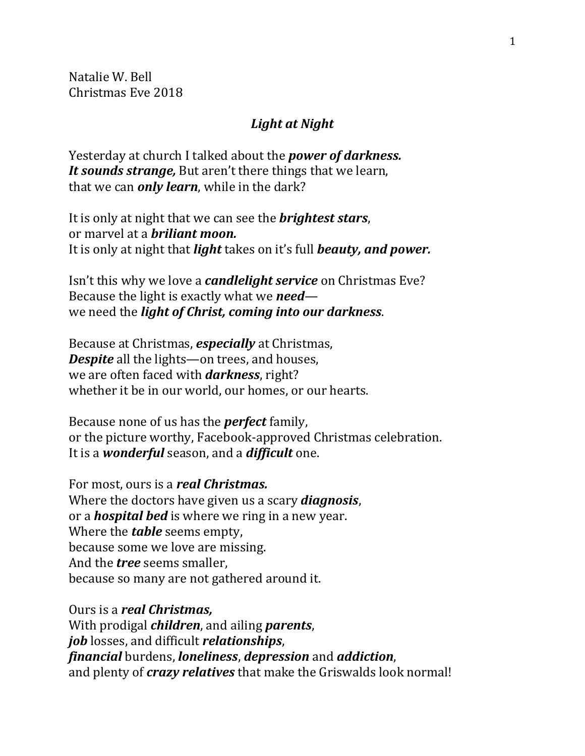Natalie W. Bell Christmas Eve 2018

## *Light at Night*

Yesterday at church I talked about the *power of darkness. It sounds strange,* But aren't there things that we learn, that we can *only learn*, while in the dark?

It is only at night that we can see the *brightest stars*, or marvel at a *briliant moon.* It is only at night that *light* takes on it's full *beauty, and power.*

Isn't this why we love a *candlelight service* on Christmas Eve? Because the light is exactly what we *need* we need the *light of Christ, coming into our darkness*.

Because at Christmas, *especially* at Christmas, *Despite* all the lights—on trees, and houses, we are often faced with *darkness*, right? whether it be in our world, our homes, or our hearts.

Because none of us has the *perfect* family, or the picture worthy, Facebook-approved Christmas celebration. It is a *wonderful* season, and a *difficult* one.

For most, ours is a *real Christmas.* Where the doctors have given us a scary *diagnosis*, or a *hospital bed* is where we ring in a new year. Where the *table* seems empty, because some we love are missing. And the *tree* seems smaller, because so many are not gathered around it.

Ours is a *real Christmas,* With prodigal *children*, and ailing *parents*, *job* losses, and difficult *relationships*, *financial* burdens, *loneliness*, *depression* and *addiction*, and plenty of *crazy relatives* that make the Griswalds look normal!